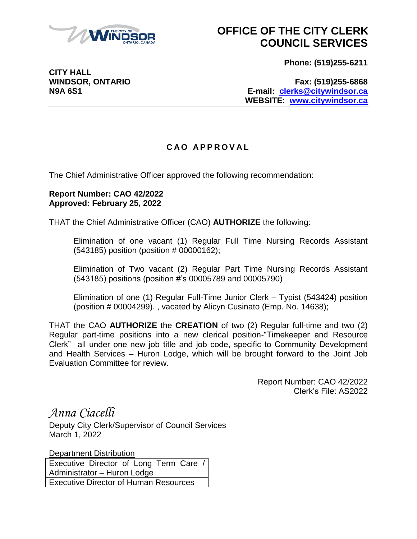

**CITY HALL**

## **OFFICE OF THE CITY CLERK COUNCIL SERVICES**

**Phone: (519)255-6211**

**WINDSOR, ONTARIO Fax: (519)255-6868 N9A 6S1 E-mail: [clerks@citywindsor.ca](mailto:clerks@citywindsor.ca) WEBSITE: [www.citywindsor.ca](http://www.citywindsor.ca/)**

## **C A O A P P R O V A L**

The Chief Administrative Officer approved the following recommendation:

## **Report Number: CAO 42/2022 Approved: February 25, 2022**

THAT the Chief Administrative Officer (CAO) **AUTHORIZE** the following:

Elimination of one vacant (1) Regular Full Time Nursing Records Assistant (543185) position (position # 00000162);

Elimination of Two vacant (2) Regular Part Time Nursing Records Assistant (543185) positions (position #'s 00005789 and 00005790)

Elimination of one (1) Regular Full-Time Junior Clerk – Typist (543424) position (position # 00004299). , vacated by Alicyn Cusinato (Emp. No. 14638);

THAT the CAO **AUTHORIZE** the **CREATION** of two (2) Regular full-time and two (2) Regular part-time positions into a new clerical position-"Timekeeper and Resource Clerk" all under one new job title and job code, specific to Community Development and Health Services – Huron Lodge, which will be brought forward to the Joint Job Evaluation Committee for review.

> Report Number: CAO 42/2022 Clerk's File: AS2022

*Anna Ciacelli*

Deputy City Clerk/Supervisor of Council Services March 1, 2022

Department Distribution Executive Director of Long Term Care / Administrator – Huron Lodge Executive Director of Human Resources